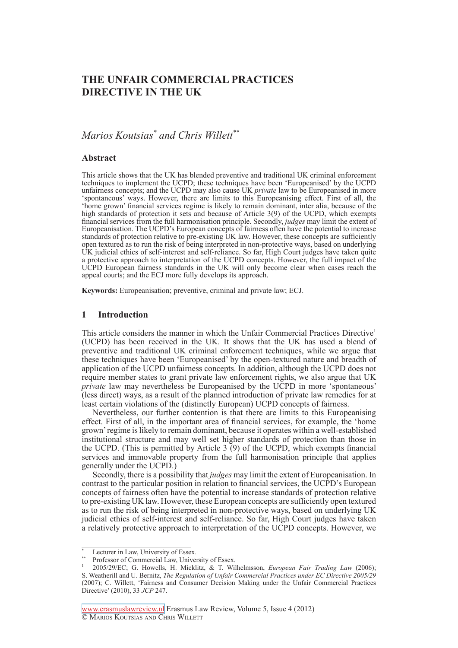# **THE UNFAIR COMMERCIAL PRACTICES DIRECTIVE IN THE UK**

# *Marios Koutsias\* and Chris Willett\*\**

# **Abstract**

This article shows that the UK has blended preventive and traditional UK criminal enforcement techniques to implement the UCPD; these techniques have been 'Europeanised' by the UCPD unfairness concepts; and the UCPD may also cause UK *private* law to be Europeanised in more 'spontaneous' ways. However, there are limits to this Europeanising effect. First of all, the 'home grown' financial services regime is likely to remain dominant, inter alia, because of the high standards of protection it sets and because of Article 3(9) of the UCPD, which exempts financial services from the full harmonisation principle. Secondly, *judges* may limit the extent of Europeanisation. The UCPD's European concepts of fairness often have the potential to increase standards of protection relative to pre-existing UK law. However, these concepts are sufficiently open textured as to run the risk of being interpreted in non-protective ways, based on underlying UK judicial ethics of self-interest and self-reliance. So far, High Court judges have taken quite a protective approach to interpretation of the UCPD concepts. However, the full impact of the UCPD European fairness standards in the UK will only become clear when cases reach the appeal courts; and the ECJ more fully develops its approach.

**Keywords:** Europeanisation; preventive, criminal and private law; ECJ.

### **1 Introduction**

This article considers the manner in which the Unfair Commercial Practices Directive<sup>1</sup> (UCPD) has been received in the UK. It shows that the UK has used a blend of preventive and traditional UK criminal enforcement techniques, while we argue that these techniques have been 'Europeanised' by the open-textured nature and breadth of application of the UCPD unfairness concepts. In addition, although the UCPD does not require member states to grant private law enforcement rights, we also argue that UK *private* law may nevertheless be Europeanised by the UCPD in more 'spontaneous' (less direct) ways, as a result of the planned introduction of private law remedies for at least certain violations of the (distinctly European) UCPD concepts of fairness.

Nevertheless, our further contention is that there are limits to this Europeanising effect. First of all, in the important area of financial services, for example, the 'home grown' regime is likely to remain dominant, because it operates within a well-established institutional structure and may well set higher standards of protection than those in the UCPD. (This is permitted by Article 3  $(9)$  of the UCPD, which exempts financial services and immovable property from the full harmonisation principle that applies generally under the UCPD.)

Secondly, there is a possibility that *judges* may limit the extent of Europeanisation. In contrast to the particular position in relation to financial services, the UCPD's European concepts of fairness often have the potential to increase standards of protection relative to pre-existing UK law. However, these European concepts are sufficiently open textured as to run the risk of being interpreted in non-protective ways, based on underlying UK judicial ethics of self-interest and self-reliance. So far, High Court judges have taken a relatively protective approach to interpretation of the UCPD concepts. However, we

Lecturer in Law, University of Essex.

Professor of Commercial Law, University of Essex.

<sup>1</sup> 2005/29/EC; G. Howells, H. Micklitz, & T. Wilhelmsson, *European Fair Trading Law* (2006); S. Weatherill and U. Bernitz, *The Regulation of Unfair Commercial Practices under EC Directive 2005/29*  (2007); C. Willett, 'Fairness and Consumer Decision Making under the Unfair Commercial Practices Directive' (2010), 33 *JCP* 247.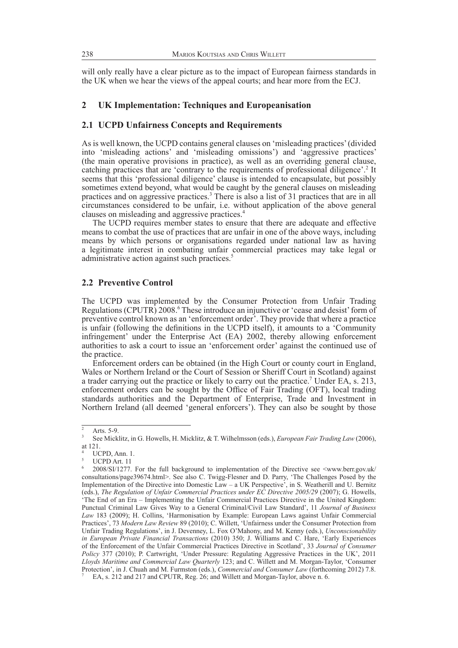will only really have a clear picture as to the impact of European fairness standards in the UK when we hear the views of the appeal courts; and hear more from the ECJ.

## **2 UK Implementation: Techniques and Europeanisation**

#### **2.1 UCPD Unfairness Concepts and Requirements**

As is well known, the UCPD contains general clauses on 'misleading practices' (divided into 'misleading actions' and 'misleading omissions') and 'aggressive practices' (the main operative provisions in practice), as well as an overriding general clause, catching practices that are 'contrary to the requirements of professional diligence'.<sup>2</sup> It seems that this 'professional diligence' clause is intended to encapsulate, but possibly sometimes extend beyond, what would be caught by the general clauses on misleading practices and on aggressive practices.<sup>3</sup> There is also a list of 31 practices that are in all circumstances considered to be unfair, i.e. without application of the above general clauses on misleading and aggressive practices.4

The UCPD requires member states to ensure that there are adequate and effective means to combat the use of practices that are unfair in one of the above ways, including means by which persons or organisations regarded under national law as having a legitimate interest in combating unfair commercial practices may take legal or administrative action against such practices.<sup>5</sup>

### **2.2 Preventive Control**

The UCPD was implemented by the Consumer Protection from Unfair Trading Regulations (CPUTR) 2008.<sup>6</sup> These introduce an injunctive or 'cease and desist' form of preventive control known as an 'enforcement order'. They provide that where a practice is unfair (following the definitions in the UCPD itself), it amounts to a 'Community infringement' under the Enterprise Act (EA) 2002, thereby allowing enforcement authorities to ask a court to issue an 'enforcement order' against the continued use of the practice.

Enforcement orders can be obtained (in the High Court or county court in England, Wales or Northern Ireland or the Court of Session or Sheriff Court in Scotland) against a trader carrying out the practice or likely to carry out the practice.<sup>7</sup> Under EA, s. 213, enforcement orders can be sought by the Office of Fair Trading (OFT), local trading standards authorities and the Department of Enterprise, Trade and Investment in Northern Ireland (all deemed 'general enforcers'). They can also be sought by those

<sup>&</sup>lt;sup>2</sup> Arts  $5-9$ .

<sup>3</sup> See Micklitz, in G. Howells, H. Micklitz, & T. Wilhelmsson (eds.), *European Fair Trading Law* (2006), at 121.

UCPD, Ann. 1.

 $^{5}$  UCPD Art. 11

<sup>2008/</sup>SI/1277. For the full background to implementation of the Directive see  $\leq$ [www.berr.gov.uk/](http://www.berr.gov.uk/consultations/page39674.html) [consultations/page39674.html>](http://www.berr.gov.uk/consultations/page39674.html). See also C. Twigg-Flesner and D. Parry, 'The Challenges Posed by the Implementation of the Directive into Domestic Law – a UK Perspective', in S. Weatherill and U. Bernitz (eds.), *The Regulation of Unfair Commercial Practices under EC Directive 2005/29* (2007); G. Howells, 'The End of an Era – Implementing the Unfair Commercial Practices Directive in the United Kingdom: Punctual Criminal Law Gives Way to a General Criminal/Civil Law Standard', 11 *Journal of Business Law* 183 (2009); H. Collins, 'Harmonisation by Example: European Laws against Unfair Commercial Practices', 73 *Modern Law Review* 89 (2010); C. Willett, 'Unfairness under the Consumer Protection from Unfair Trading Regulations', in J. Devenney, L. Fox O'Mahony, and M. Kenny (eds.), *Unconscionability in European Private Financial Transactions* (2010) 350; J. Williams and C. Hare, 'Early Experiences of the Enforcement of the Unfair Commercial Practices Directive in Scotland', 33 *Journal of Consumer Policy* 377 (2010); P. Cartwright, 'Under Pressure: Regulating Aggressive Practices in the UK', 2011 *Lloyds Maritime and Commercial Law Quarterly* 123; and C. Willett and M. Morgan-Taylor, 'Consumer Protection', in J. Chuah and M. Furmston (eds.), *Commercial and Consumer Law* (forthcoming 2012) 7.8. EA, s. 212 and 217 and CPUTR, Reg. 26; and Willett and Morgan-Taylor, above n. 6.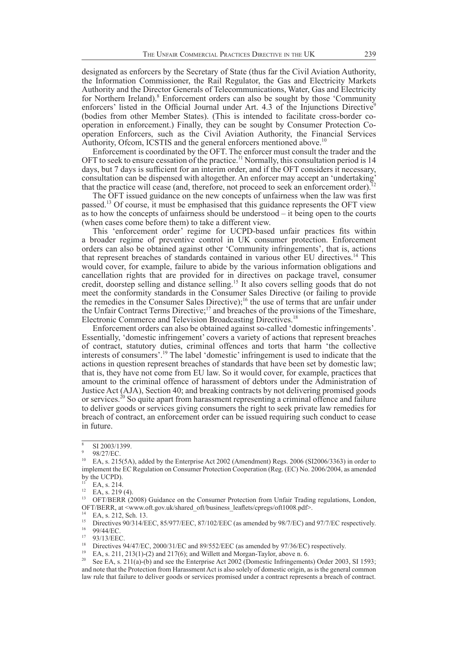designated as enforcers by the Secretary of State (thus far the Civil Aviation Authority, the Information Commissioner, the Rail Regulator, the Gas and Electricity Markets Authority and the Director Generals of Telecommunications, Water, Gas and Electricity for Northern Ireland).<sup>8</sup> Enforcement orders can also be sought by those 'Community enforcers' listed in the Official Journal under Art. 4.3 of the Injunctions Directive<sup>9</sup> (bodies from other Member States). (This is intended to facilitate cross-border cooperation in enforcement.) Finally, they can be sought by Consumer Protection Cooperation Enforcers, such as the Civil Aviation Authority, the Financial Services Authority, Ofcom, ICSTIS and the general enforcers mentioned above.<sup>10</sup>

Enforcement is coordinated by the OFT. The enforcer must consult the trader and the OFT to seek to ensure cessation of the practice.<sup>11</sup> Normally, this consultation period is 14 days, but 7 days is sufficient for an interim order, and if the OFT considers it necessary, consultation can be dispensed with altogether. An enforcer may accept an 'undertaking' that the practice will cease (and, therefore, not proceed to seek an enforcement order).<sup>12</sup>

The OFT issued guidance on the new concepts of unfairness when the law was first passed.13 Of course, it must be emphasised that this guidance represents the OFT view as to how the concepts of unfairness should be understood – it being open to the courts (when cases come before them) to take a different view.

This 'enforcement order' regime for UCPD-based unfair practices fits within a broader regime of preventive control in UK consumer protection. Enforcement orders can also be obtained against other 'Community infringements', that is, actions that represent breaches of standards contained in various other EU directives.14 This would cover, for example, failure to abide by the various information obligations and cancellation rights that are provided for in directives on package travel, consumer credit, doorstep selling and distance selling.15 It also covers selling goods that do not meet the conformity standards in the Consumer Sales Directive (or failing to provide the remedies in the Consumer Sales Directive);<sup>16</sup> the use of terms that are unfair under the Unfair Contract Terms Directive;<sup>17</sup> and breaches of the provisions of the Timeshare, Electronic Commerce and Television Broadcasting Directives.<sup>18</sup>

Enforcement orders can also be obtained against so-called 'domestic infringements'. Essentially, 'domestic infringement' covers a variety of actions that represent breaches of contract, statutory duties, criminal offences and torts that harm 'the collective interests of consumers'.19 The label 'domestic' infringement is used to indicate that the actions in question represent breaches of standards that have been set by domestic law; that is, they have not come from EU law. So it would cover, for example, practices that amount to the criminal offence of harassment of debtors under the Administration of Justice Act (AJA), Section 40; and breaking contracts by not delivering promised goods or services.<sup>20</sup> So quite apart from harassment representing a criminal offence and failure to deliver goods or services giving consumers the right to seek private law remedies for breach of contract, an enforcement order can be issued requiring such conduct to cease in future.

 $\overline{\text{S} = \text{S}1\,2003/1399}$ .

 $^{9}$  98/27/EC.

EA, s. 215(5A), added by the Enterprise Act 2002 (Amendment) Regs. 2006 (SI2006/3363) in order to implement the EC Regulation on Consumer Protection Cooperation (Reg. (EC) No. 2006/2004, as amended by the UCPD).

 $\frac{11}{12}$  EA, s. 214.

<sup>&</sup>lt;sup>12</sup> EA, s. 219 (4).

<sup>13</sup> OFT/BERR (2008) Guidance on the Consumer Protection from Unfair Trading regulations, London, OFT/BERR, at <[www.oft.gov.uk/shared\\_oft/business\\_leaflets/cpregs/oft1008.pdf](http://www.oft.gov.uk/shared_oft/business_leaflets/cpregs/oft1008.pdf)>.

<sup>&</sup>lt;sup>14</sup> EA, s. 212, Sch. 13.

<sup>&</sup>lt;sup>15</sup> Directives 90/314/EEC, 85/977/EEC, 87/102/EEC (as amended by 98/7/EC) and 97/7/EC respectively.

 $^{16}$  99/44/EC.

 $^{17}$  93/13/EEC.

<sup>&</sup>lt;sup>18</sup> Directives 94/47/EC, 2000/31/EC and 89/552/EEC (as amended by 97/36/EC) respectively.

<sup>&</sup>lt;sup>19</sup> EA, s. 211, 213(1)-(2) and 217(6); and Willett and Morgan-Taylor, above n. 6.<br><sup>20</sup> See EA, s. 211(e) (b) and see the Enterprise Act 2002 (Demosite Infrincement

<sup>20</sup> See EA, s. 211(a)-(b) and see the Enterprise Act 2002 (Domestic Infringements) Order 2003, SI 1593; and note that the Protection from Harassment Act is also solely of domestic origin, as is the general common law rule that failure to deliver goods or services promised under a contract represents a breach of contract.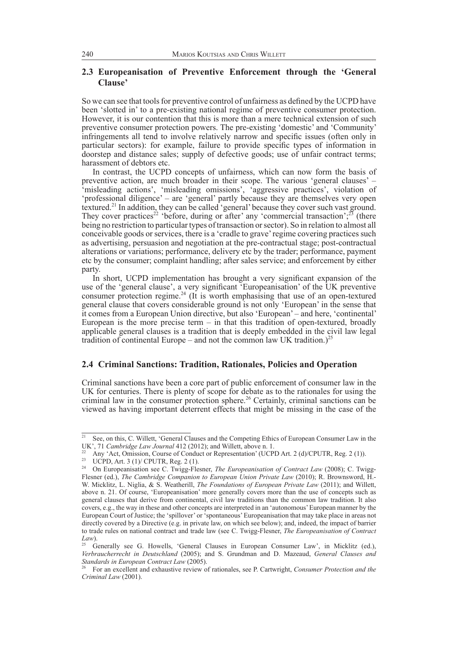# **2.3 Europeanisation of Preventive Enforcement through the 'General Clause'**

So we can see that tools for preventive control of unfairness as defined by the UCPD have been 'slotted in' to a pre-existing national regime of preventive consumer protection. However, it is our contention that this is more than a mere technical extension of such preventive consumer protection powers. The pre-existing 'domestic' and 'Community' infringements all tend to involve relatively narrow and specific issues (often only in particular sectors): for example, failure to provide specific types of information in doorstep and distance sales; supply of defective goods; use of unfair contract terms; harassment of debtors etc.

In contrast, the UCPD concepts of unfairness, which can now form the basis of preventive action, are much broader in their scope. The various 'general clauses' – 'misleading actions', 'misleading omissions', 'aggressive practices', violation of 'professional diligence' – are 'general' partly because they are themselves very open textured.21 In addition, they can be called 'general' because they cover such vast ground. They cover practices<sup>22</sup> 'before, during or after' any 'commercial transaction';<sup>23</sup> (there being no restriction to particular types of transaction or sector). So in relation to almost all conceivable goods or services, there is a 'cradle to grave' regime covering practices such as advertising, persuasion and negotiation at the pre-contractual stage; post-contractual alterations or variations; performance, delivery etc by the trader; performance, payment etc by the consumer; complaint handling; after sales service; and enforcement by either party.

In short, UCPD implementation has brought a very significant expansion of the use of the 'general clause', a very significant 'Europeanisation' of the UK preventive consumer protection regime.<sup>24</sup> (It is worth emphasising that use of an open-textured general clause that covers considerable ground is not only 'European' in the sense that it comes from a European Union directive, but also 'European' – and here, 'continental' European is the more precise term – in that this tradition of open-textured, broadly applicable general clauses is a tradition that is deeply embedded in the civil law legal tradition of continental Europe – and not the common law UK tradition.)<sup>25</sup>

### **2.4 Criminal Sanctions: Tradition, Rationales, Policies and Operation**

Criminal sanctions have been a core part of public enforcement of consumer law in the UK for centuries. There is plenty of scope for debate as to the rationales for using the criminal law in the consumer protection sphere.<sup>26</sup> Certainly, criminal sanctions can be viewed as having important deterrent effects that might be missing in the case of the

 $\frac{21}{21}$  See, on this, C. Willett, 'General Clauses and the Competing Ethics of European Consumer Law in the UK', 71 *Cambridge Law Journal* 412 (2012); and Willett, above n. 1.

<sup>&</sup>lt;sup>22</sup> Any 'Act, Omission, Course of Conduct or Representation' (UCPD Art. 2 (d)/CPUTR, Reg. 2 (1)).

<sup>23</sup> UCPD, Art. 3 (1)/ CPUTR, Reg. 2 (1).

<sup>&</sup>lt;sup>24</sup> On Europeanisation see C. Twigg-Flesner, *The Europeanisation of Contract Law* (2008); C. Twigg-Flesner (ed.), *The Cambridge Companion to European Union Private Law* (2010); R. Brownsword, H.- W. Micklitz, L. Niglia, & S. Weatherill, *The Foundations of European Private Law* (2011); and Willett, above n. 21. Of course, 'Europeanisation' more generally covers more than the use of concepts such as general clauses that derive from continental, civil law traditions than the common law tradition. It also covers, e.g., the way in these and other concepts are interpreted in an 'autonomous' European manner by the European Court of Justice; the 'spillover' or 'spontaneous' Europeanisation that may take place in areas not directly covered by a Directive (e.g. in private law, on which see below); and, indeed, the impact of barrier to trade rules on national contract and trade law (see C. Twigg-Flesner, *The Europeanisation of Contract Law*).

<sup>&</sup>lt;sup>25</sup> Generally see G. Howells, 'General Clauses in European Consumer Law', in Micklitz (ed.), *Verbraucherrecht in Deutschland* (2005); and S. Grundman and D. Mazeaud, *General Clauses and Standards in European Contract Law* (2005).

<sup>26</sup> For an excellent and exhaustive review of rationales, see P. Cartwright, *Consumer Protection and the Criminal Law* (2001).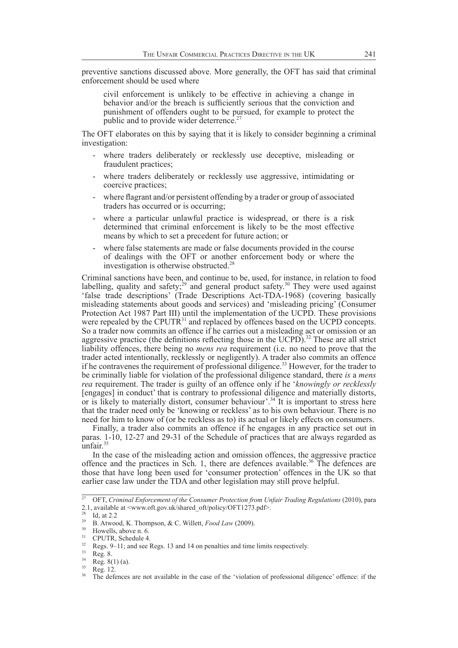preventive sanctions discussed above. More generally, the OFT has said that criminal enforcement should be used where

civil enforcement is unlikely to be effective in achieving a change in behavior and/or the breach is sufficiently serious that the conviction and punishment of offenders ought to be pursued, for example to protect the public and to provide wider deterrence.<sup>27</sup>

The OFT elaborates on this by saying that it is likely to consider beginning a criminal investigation:

- where traders deliberately or recklessly use deceptive, misleading or fraudulent practices;
- where traders deliberately or recklessly use aggressive, intimidating or coercive practices;
- where flagrant and/or persistent offending by a trader or group of associated traders has occurred or is occurring;
- where a particular unlawful practice is widespread, or there is a risk determined that criminal enforcement is likely to be the most effective means by which to set a precedent for future action; or
- where false statements are made or false documents provided in the course of dealings with the OFT or another enforcement body or where the investigation is otherwise obstructed.<sup>28</sup>

Criminal sanctions have been, and continue to be, used, for instance, in relation to food labelling, quality and safety; $^{29}$  and general product safety.<sup>30</sup> They were used against 'false trade descriptions' (Trade Descriptions Act-TDA-1968) (covering basically misleading statements about goods and services) and 'misleading pricing' (Consumer Protection Act 1987 Part III) until the implementation of the UCPD. These provisions were repealed by the CPUTR<sup>31</sup> and replaced by offences based on the UCPD concepts. So a trader now commits an offence if he carries out a misleading act or omission or an aggressive practice (the definitions reflecting those in the UCPD).<sup>32</sup> These are all strict liability offences, there being no *mens rea* requirement (i.e. no need to prove that the trader acted intentionally, recklessly or negligently). A trader also commits an offence if he contravenes the requirement of professional diligence.<sup>33</sup> However, for the trader to be criminally liable for violation of the professional diligence standard, there *is* a *mens rea* requirement. The trader is guilty of an offence only if he '*knowingly or recklessly* [engages] in conduct' that is contrary to professional diligence and materially distorts, or is likely to materially distort, consumer behaviour'.<sup>34</sup> It is important to stress here that the trader need only be 'knowing or reckless' as to his own behaviour. There is no need for him to know of (or be reckless as to) its actual or likely effects on consumers.

Finally, a trader also commits an offence if he engages in any practice set out in paras. 1-10, 12-27 and 29-31 of the Schedule of practices that are always regarded as unfair.<sup>35</sup>

In the case of the misleading action and omission offences, the aggressive practice offence and the practices in Sch. 1, there are defences available.<sup>36</sup> The defences are those that have long been used for 'consumer protection' offences in the UK so that earlier case law under the TDA and other legislation may still prove helpful.

<sup>27</sup> OFT, *Criminal Enforcement of the Consumer Protection from Unfair Trading Regulations* (2010), para 2.1, available at [<www.oft.gov.uk/shared\\_oft/policy/OFT1273.pdf](http://www.oft.gov.uk/shared_oft/policy/OFT1273.pdf)>.

<sup>&</sup>lt;sup>28</sup> Id, at 2.2

<sup>&</sup>lt;sup>29</sup> B. Atwood, K. Thompson, & C. Willett, *Food Law* (2009).

 $30$  Howells, above n. 6.

 $^{31}$  CPUTR, Schedule 4.

 $^{32}$  Regs. 9–11; and see Regs. 13 and 14 on penalties and time limits respectively.

 $^{33}$  Reg. 8.

 $rac{34}{35}$  Reg. 8(1) (a).

 $rac{35}{36}$  Reg. 12.

The defences are not available in the case of the 'violation of professional diligence' offence: if the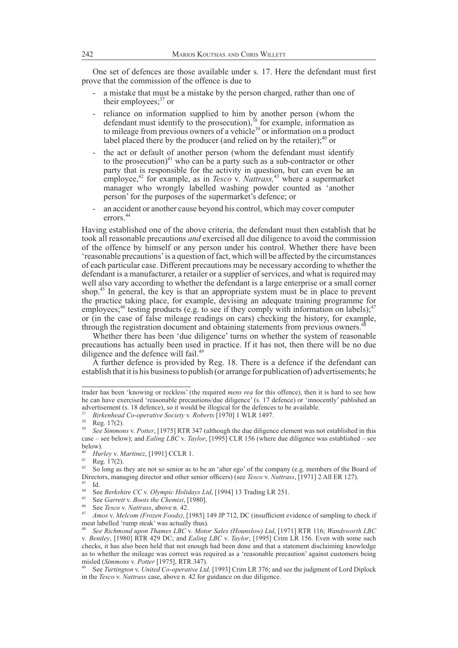One set of defences are those available under s. 17. Here the defendant must first prove that the commission of the offence is due to

- a mistake that must be a mistake by the person charged, rather than one of their employees; $37$  or
- reliance on information supplied to him by another person (whom the defendant must identify to the prosecution),  $38$  for example, information as to mileage from previous owners of a vehicle<sup>39</sup> or information on a product label placed there by the producer (and relied on by the retailer); $40$  or
- the act or default of another person (whom the defendant must identify to the prosecution)<sup>41</sup> who can be a party such as a sub-contractor or other party that is responsible for the activity in question, but can even be an employee,42 for example, as in *Tesco* v. *Nattrass,*<sup>43</sup> where a supermarket manager who wrongly labelled washing powder counted as 'another person' for the purposes of the supermarket's defence; or
- an accident or another cause beyond his control, which may cover computer errors.44

Having established one of the above criteria, the defendant must then establish that he took all reasonable precautions *and* exercised all due diligence to avoid the commission of the offence by himself or any person under his control. Whether there have been 'reasonable precautions' is a question of fact, which will be affected by the circumstances of each particular case. Different precautions may be necessary according to whether the defendant is a manufacturer, a retailer or a supplier of services, and what is required may well also vary according to whether the defendant is a large enterprise or a small corner shop.45 In general, the key is that an appropriate system must be in place to prevent the practice taking place, for example, devising an adequate training programme for employees;<sup>46</sup> testing products (e.g. to see if they comply with information on labels);<sup>47</sup> or (in the case of false mileage readings on cars) checking the history, for example, through the registration document and obtaining statements from previous owners.<sup>48</sup>

Whether there has been 'due diligence' turns on whether the system of reasonable precautions has actually been used in practice. If it has not, then there will be no due diligence and the defence will fail.<sup>49</sup>

A further defence is provided by Reg. 18. There is a defence if the defendant can establish that it is his business to publish (or arrange for publication of) advertisements; he

trader has been 'knowing or reckless' (the required *mens rea* for this offence), then it is hard to see how he can have exercised 'reasonable precautions/due diligence' (s. 17 defence) or 'innocently' published an advertisement (s. 18 defence), so it would be illogical for the defences to be available.

<sup>37</sup> *Birkenhead Co-operative Society* v. *Roberts* [1970] 1 WLR 1497.

Reg. 17(2).

<sup>39</sup> *See Simmons* v. *Potter*, [1975] RTR 347 (although the due diligence element was not established in this case – see below); and *Ealing LBC* v. *Taylor*, [1995] CLR 156 (where due diligence was established – see below).

<sup>40</sup> *Hurley* v. *Martinez*, [1991] CCLR 1.

<sup>&</sup>lt;sup>41</sup> Reg. 17(2).

So long as they are not so senior as to be an 'alter ego' of the company (e.g. members of the Board of Directors, managing director and other senior officers) (see *Tesco* v. *Nattrass*, [1971] 2 All ER 127).

 $\frac{43}{44}$  Id. <sup>44</sup> See *Berkshire CC* v. *Olympic Holidays Ltd*, [1994] 13 Trading LR 251.

<sup>45</sup> See *Garrett* v. *Boots the Chemist*, [1980].

<sup>46</sup> See *Tesco* v. *Nattrass*, above n. 42.

<sup>47</sup> *Amos* v. *Melcom (Frozen Foods)*, [1985] 149 JP 712, DC (insufficient evidence of sampling to check if meat labelled 'rump steak' was actually thus).

<sup>48</sup> *See Richmond upon Thames LBC* v. *Motor Sales (Hounslow) Ltd*, [1971] RTR 116; *Wandsworth LBC*  v*. Bentley*, [1980] RTR 429 DC; and *Ealing LBC* v. *Taylor*, [1995] Crim LR 156. Even with some such checks, it has also been held that not enough had been done and that a statement disclaiming knowledge as to whether the mileage was correct was required as a 'reasonable precaution' against customers being misled (*Simmons* v. *Potter* [1975], RTR 347).

<sup>49</sup> See *Turtington* v. *United Co-operative Ltd,* [1993] Crim LR 376; and see the judgment of Lord Diplock in the *Tesco* v. *Nattrass* case, above n. 42 for guidance on due diligence.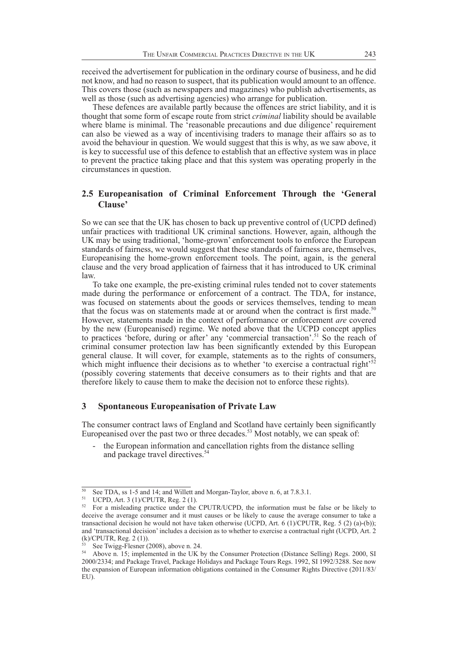received the advertisement for publication in the ordinary course of business, and he did not know, and had no reason to suspect, that its publication would amount to an offence. This covers those (such as newspapers and magazines) who publish advertisements, as well as those (such as advertising agencies) who arrange for publication.

These defences are available partly because the offences are strict liability, and it is thought that some form of escape route from strict *criminal* liability should be available where blame is minimal. The 'reasonable precautions and due diligence' requirement can also be viewed as a way of incentivising traders to manage their affairs so as to avoid the behaviour in question. We would suggest that this is why, as we saw above, it is key to successful use of this defence to establish that an effective system was in place to prevent the practice taking place and that this system was operating properly in the circumstances in question.

## **2.5 Europeanisation of Criminal Enforcement Through the 'General Clause'**

So we can see that the UK has chosen to back up preventive control of (UCPD defined) unfair practices with traditional UK criminal sanctions. However, again, although the UK may be using traditional, 'home-grown' enforcement tools to enforce the European standards of fairness, we would suggest that these standards of fairness are, themselves, Europeanising the home-grown enforcement tools. The point, again, is the general clause and the very broad application of fairness that it has introduced to UK criminal law.

To take one example, the pre-existing criminal rules tended not to cover statements made during the performance or enforcement of a contract. The TDA, for instance, was focused on statements about the goods or services themselves, tending to mean that the focus was on statements made at or around when the contract is first made.<sup>50</sup> However, statements made in the context of performance or enforcement *are* covered by the new (Europeanised) regime. We noted above that the UCPD concept applies to practices 'before, during or after' any 'commercial transaction'.51 So the reach of criminal consumer protection law has been significantly extended by this European general clause. It will cover, for example, statements as to the rights of consumers, which might influence their decisions as to whether 'to exercise a contractual right'<sup>52</sup> (possibly covering statements that deceive consumers as to their rights and that are therefore likely to cause them to make the decision not to enforce these rights).

#### **3 Spontaneous Europeanisation of Private Law**

The consumer contract laws of England and Scotland have certainly been significantly Europeanised over the past two or three decades.<sup>53</sup> Most notably, we can speak of:

the European information and cancellation rights from the distance selling and package travel directives.<sup>54</sup>

<sup>&</sup>lt;sup>50</sup> See TDA, ss 1-5 and 14; and Willett and Morgan-Taylor, above n. 6, at 7.8.3.1.

<sup>&</sup>lt;sup>51</sup> UCPD, Art. 3 (1)/CPUTR, Reg. 2 (1).

<sup>52</sup> For a misleading practice under the CPUTR/UCPD, the information must be false or be likely to deceive the average consumer and it must causes or be likely to cause the average consumer to take a transactional decision he would not have taken otherwise (UCPD, Art. 6 (1)/CPUTR, Reg. 5 (2) (a)-(b)); and 'transactional decision' includes a decision as to whether to exercise a contractual right (UCPD, Art. 2 (k)/CPUTR, Reg. 2 (1)).

<sup>&</sup>lt;sup>53</sup> See Twigg-Flesner (2008), above n. 24.<br> $\frac{54}{2}$ , Above n. 15; implemented in the UV h

<sup>54</sup> Above n. 15; implemented in the UK by the Consumer Protection (Distance Selling) Regs. 2000, SI 2000/2334; and Package Travel, Package Holidays and Package Tours Regs. 1992, SI 1992/3288. See now the expansion of European information obligations contained in the Consumer Rights Directive (2011/83/ EU).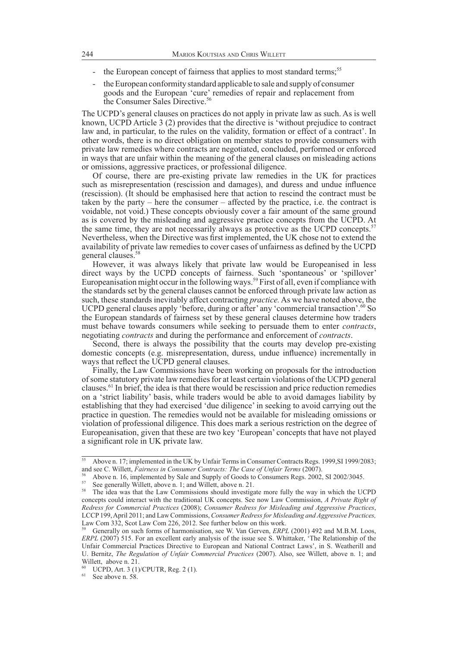- the European concept of fairness that applies to most standard terms;<sup>55</sup>
- the European conformity standard applicable to sale and supply of consumer goods and the European 'cure' remedies of repair and replacement from the Consumer Sales Directive.<sup>5</sup>

The UCPD's general clauses on practices do not apply in private law as such. As is well known, UCPD Article 3 (2) provides that the directive is 'without prejudice to contract law and, in particular, to the rules on the validity, formation or effect of a contract'. In other words, there is no direct obligation on member states to provide consumers with private law remedies where contracts are negotiated, concluded, performed or enforced in ways that are unfair within the meaning of the general clauses on misleading actions or omissions, aggressive practices, or professional diligence.

Of course, there are pre-existing private law remedies in the UK for practices such as misrepresentation (rescission and damages), and duress and undue influence (rescission). (It should be emphasised here that action to rescind the contract must be taken by the party – here the consumer – affected by the practice, i.e. the contract is voidable, not void.) These concepts obviously cover a fair amount of the same ground as is covered by the misleading and aggressive practice concepts from the UCPD. At the same time, they are not necessarily always as protective as the UCPD concepts.<sup>57</sup> Nevertheless, when the Directive was first implemented, the UK chose not to extend the availability of private law remedies to cover cases of unfairness as defined by the UCPD general clauses.58

However, it was always likely that private law would be Europeanised in less direct ways by the UCPD concepts of fairness. Such 'spontaneous' or 'spillover' Europeanisation might occur in the following ways.<sup>59</sup> First of all, even if compliance with the standards set by the general clauses cannot be enforced through private law action as such, these standards inevitably affect contracting *practice.* As we have noted above, the UCPD general clauses apply 'before, during or after' any 'commercial transaction'.<sup>60</sup> So the European standards of fairness set by these general clauses determine how traders must behave towards consumers while seeking to persuade them to enter *contracts*, negotiating *contracts* and during the performance and enforcement of *contracts*.

Second, there is always the possibility that the courts may develop pre-existing domestic concepts (e.g. misrepresentation, duress, undue influence) incrementally in ways that reflect the UCPD general clauses.

Finally, the Law Commissions have been working on proposals for the introduction of some statutory private law remedies for at least certain violations of the UCPD general clauses.<sup>61</sup> In brief, the idea is that there would be rescission and price reduction remedies on a 'strict liability' basis, while traders would be able to avoid damages liability by establishing that they had exercised 'due diligence' in seeking to avoid carrying out the practice in question. The remedies would not be available for misleading omissions or violation of professional diligence. This does mark a serious restriction on the degree of Europeanisation, given that these are two key 'European' concepts that have not played a significant role in UK private law.

 $\frac{55}{55}$  Above n. 17; implemented in the UK by Unfair Terms in Consumer Contracts Regs. 1999, SI 1999/2083; and see C. Willett, *Fairness in Consumer Contracts: The Case of Unfair Terms* (2007).

 $^{56}$  Above n. 16, implemented by Sale and Supply of Goods to Consumers Regs. 2002, SI 2002/3045.

See generally Willett, above n. 1; and Willett, above n. 21.

<sup>58</sup> The idea was that the Law Commissions should investigate more fully the way in which the UCPD concepts could interact with the traditional UK concepts. See now Law Commission, *A Private Right of Redress for Commercial Practices* (2008); *Consumer Redress for Misleading and Aggressive Practices*, LCCP 199, April 2011; and Law Commissions, *Consumer Redress for Misleading and Aggressive Practices,*  Law Com 332, Scot Law Com 226, 2012. See further below on this work.

<sup>59</sup> Generally on such forms of harmonisation, see W. Van Gerven, *ERPL* (2001) 492 and M.B.M. Loos, *ERPL* (2007) 515. For an excellent early analysis of the issue see S. Whittaker, 'The Relationship of the Unfair Commercial Practices Directive to European and National Contract Laws', in S. Weatherill and U. Bernitz, *The Regulation of Unfair Commercial Practices* (2007). Also, see Willett, above n. 1; and Willett, above n. 21.

<sup>60</sup> UCPD, Art. 3 (1)/CPUTR, Reg. 2 (1).

 $61$  See above n. 58.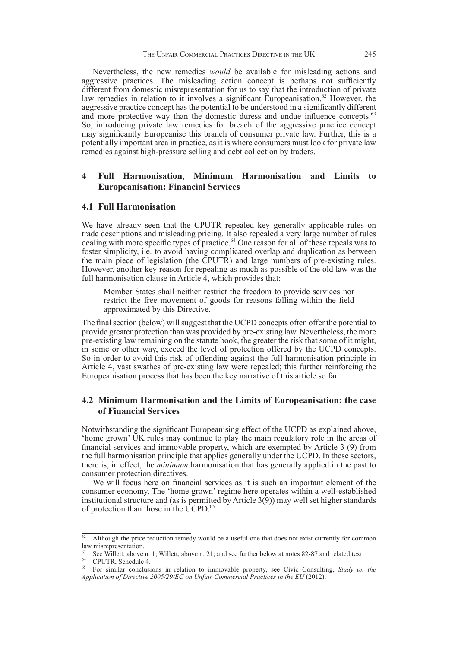Nevertheless, the new remedies *would* be available for misleading actions and aggressive practices. The misleading action concept is perhaps not sufficiently different from domestic misrepresentation for us to say that the introduction of private law remedies in relation to it involves a significant Europeanisation.<sup>62</sup> However, the aggressive practice concept has the potential to be understood in a significantly different and more protective way than the domestic duress and undue influence concepts.<sup>63</sup> So, introducing private law remedies for breach of the aggressive practice concept may significantly Europeanise this branch of consumer private law. Further, this is a potentially important area in practice, as it is where consumers must look for private law remedies against high-pressure selling and debt collection by traders.

# **4 Full Harmonisation, Minimum Harmonisation and Limits to Europeanisation: Financial Services**

#### **4.1 Full Harmonisation**

We have already seen that the CPUTR repealed key generally applicable rules on trade descriptions and misleading pricing. It also repealed a very large number of rules dealing with more specific types of practice.<sup>64</sup> One reason for all of these repeals was to foster simplicity, i.e. to avoid having complicated overlap and duplication as between the main piece of legislation (the CPUTR) and large numbers of pre-existing rules. However, another key reason for repealing as much as possible of the old law was the full harmonisation clause in Article 4, which provides that:

Member States shall neither restrict the freedom to provide services nor restrict the free movement of goods for reasons falling within the field approximated by this Directive.

The final section (below) will suggest that the UCPD concepts often offer the potential to provide greater protection than was provided by pre-existing law. Nevertheless, the more pre-existing law remaining on the statute book, the greater the risk that some of it might, in some or other way, exceed the level of protection offered by the UCPD concepts. So in order to avoid this risk of offending against the full harmonisation principle in Article 4, vast swathes of pre-existing law were repealed; this further reinforcing the Europeanisation process that has been the key narrative of this article so far.

# **4.2 Minimum Harmonisation and the Limits of Europeanisation: the case of Financial Services**

Notwithstanding the significant Europeanising effect of the UCPD as explained above, 'home grown' UK rules may continue to play the main regulatory role in the areas of financial services and immovable property, which are exempted by Article 3 (9) from the full harmonisation principle that applies generally under the UCPD. In these sectors, there is, in effect, the *minimum* harmonisation that has generally applied in the past to consumer protection directives.

We will focus here on financial services as it is such an important element of the consumer economy. The 'home grown' regime here operates within a well-established institutional structure and (as is permitted by Article  $3(9)$ ) may well set higher standards of protection than those in the UCPD.<sup>65</sup>

 $\overline{62}$  Although the price reduction remedy would be a useful one that does not exist currently for common law misrepresentation.

See Willett, above n. 1; Willett, above n. 21; and see further below at notes 82-87 and related text.

<sup>64</sup> CPUTR, Schedule 4.

<sup>65</sup> For similar conclusions in relation to immovable property, see Civic Consulting, *Study on the Application of Directive 2005/29/EC on Unfair Commercial Practices in the EU* (2012).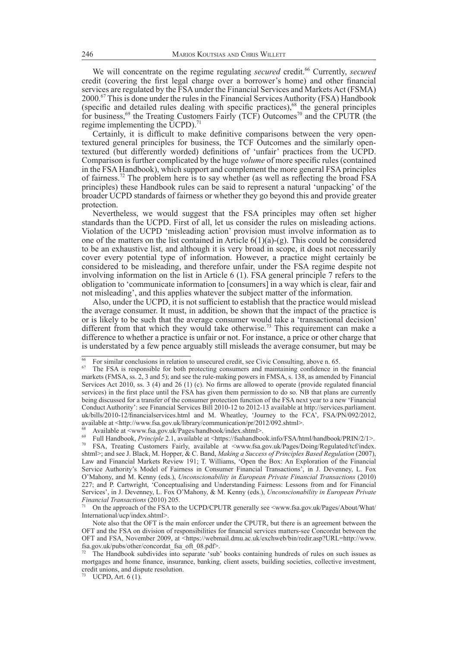We will concentrate on the regime regulating *secured* credit.<sup>66</sup> Currently, *secured* credit (covering the first legal charge over a borrower's home) and other financial services are regulated by the FSA under the Financial Services and Markets Act (FSMA) 2000.67 This is done under the rules in the Financial Services Authority (FSA) Handbook (specific and detailed rules dealing with specific practices), $68$  the general principles for business,<sup>69</sup> the Treating Customers Fairly (TCF) Outcomes<sup>70</sup> and the CPUTR (the regime implementing the  $\text{UCPD}$ .<sup>71</sup>

Certainly, it is difficult to make definitive comparisons between the very opentextured general principles for business, the TCF Outcomes and the similarly opentextured (but differently worded) definitions of 'unfair' practices from the UCPD. Comparison is further complicated by the huge *volume* of more specific rules (contained in the FSA Handbook), which support and complement the more general FSA principles of fairness.<sup>72</sup> The problem here is to say whether (as well as reflecting the broad  $\hat{F}SA$ principles) these Handbook rules can be said to represent a natural 'unpacking' of the broader UCPD standards of fairness or whether they go beyond this and provide greater protection.

Nevertheless, we would suggest that the FSA principles may often set higher standards than the UCPD. First of all, let us consider the rules on misleading actions. Violation of the UCPD 'misleading action' provision must involve information as to one of the matters on the list contained in Article  $6(1)(a)-(g)$ . This could be considered to be an exhaustive list, and although it is very broad in scope, it does not necessarily cover every potential type of information. However, a practice might certainly be considered to be misleading, and therefore unfair, under the FSA regime despite not involving information on the list in Article 6 (1). FSA general principle 7 refers to the obligation to 'communicate information to [consumers] in a way which is clear, fair and not misleading', and this applies whatever the subject matter of the information.

Also, under the UCPD, it is not sufficient to establish that the practice would mislead the average consumer. It must, in addition, be shown that the impact of the practice is or is likely to be such that the average consumer would take a 'transactional decision' different from that which they would take otherwise.<sup>73</sup> This requirement can make a difference to whether a practice is unfair or not. For instance, a price or other charge that is understated by a few pence arguably still misleads the average consumer, but may be

UCPD, Art. 6 (1).

<sup>&</sup>lt;sup>66</sup> For similar conclusions in relation to unsecured credit, see Civic Consulting, above n. 65.<br><sup>67</sup> The ESA is reproprible for both protecting consumers and maintaining confidence in

The FSA is responsible for both protecting consumers and maintaining confidence in the financial markets (FMSA, ss. 2, 3 and 5); and see the rule-making powers in FMSA, s. 138, as amended by Financial Services Act 2010, ss. 3 (4) and 26 (1) (c). No firms are allowed to operate (provide regulated financial services) in the first place until the FSA has given them permission to do so. NB that plans are currently being discussed for a transfer of the consumer protection function of the FSA next year to a new 'Financial Conduct Authority': see Financial Services Bill 2010-12 to 2012-13 available at [http://services.parliament.](http://services.parliament.uk/bills/2010-12/financialservices.html) [uk/bills/2010-12/financialservices.html](http://services.parliament.uk/bills/2010-12/financialservices.html) and M. Wheatley, 'Journey to the FCA', FSA/PN/092/2012, available at <<http://www.fsa.gov.uk/library/communication/pr/2012/092.shtml>>.

Available at [<www.fsa.gov.uk/Pages/handbook/index.shtml](http://www.fsa.gov.uk/Pages/handbook/index.shtml)>.

<sup>69</sup> Full Handbook, *Principle* 2.1, available at [<https://fsahandbook.info/FSA/html/handbook/PRIN/2/1](https://fsahandbook.info/FSA/html/handbook/PRIN/2/1)>.

FSA, Treating Customers Fairly, available at [<www.fsa.gov.uk/Pages/Doing/Regulated/tcf/index.](http://www.fsa.gov.uk/Pages/Doing/Regulated/tcf/index.shtml) [shtml](http://www.fsa.gov.uk/Pages/Doing/Regulated/tcf/index.shtml)>; and see J. Black, M. Hopper, & C. Band, *Making a Success of Principles Based Regulation* (2007), Law and Financial Markets Review 191; T. Williams, 'Open the Box: An Exploration of the Financial Service Authority's Model of Fairness in Consumer Financial Transactions', in J. Devenney, L. Fox O'Mahony, and M. Kenny (eds.), *Unconscionability in European Private Financial Transactions* (2010) 227; and P. Cartwright, 'Conceptualising and Understanding Fairness: Lessons from and for Financial Services', in J. Devenney, L. Fox O'Mahony, & M. Kenny (eds.), *Unconscionability in European Private Financial Transactions* (2010) 205.

On the approach of the FSA to the UCPD/CPUTR generally see [<www.fsa.gov.uk/Pages/About/What/](http://www.fsa.gov.uk/Pages/About/What/International/ucp/index.shtml) [International/ucp/index.shtml>](http://www.fsa.gov.uk/Pages/About/What/International/ucp/index.shtml).

Note also that the OFT is the main enforcer under the CPUTR, but there is an agreement between the OFT and the FSA on division of responsibilities for financial services matters-see Concordat between the OFT and FSA, November 2009, at <[https://webmail.dmu.ac.uk/exchweb/bin/redir.asp?URL=http://www.](https://webmail.dmu.ac.uk/exchweb/bin/redir.asp?URL=http://www.fsa.gov.uk/pubs/other/concordat_fsa_oft_08.pdf) [fsa.gov.uk/pubs/other/concordat\\_fsa\\_oft\\_08.pdf>](https://webmail.dmu.ac.uk/exchweb/bin/redir.asp?URL=http://www.fsa.gov.uk/pubs/other/concordat_fsa_oft_08.pdf).

The Handbook subdivides into separate 'sub' books containing hundreds of rules on such issues as mortgages and home finance, insurance, banking, client assets, building societies, collective investment, credit unions, and dispute resolution.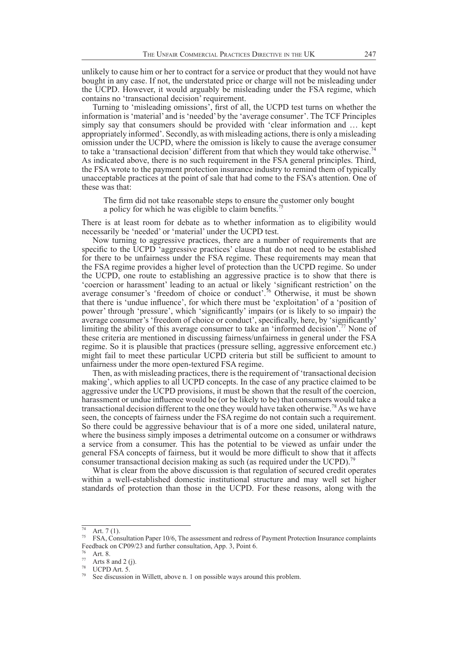unlikely to cause him or her to contract for a service or product that they would not have bought in any case. If not, the understated price or charge will not be misleading under the UCPD. However, it would arguably be misleading under the FSA regime, which contains no 'transactional decision' requirement.

Turning to 'misleading omissions', first of all, the UCPD test turns on whether the information is 'material' and is 'needed' by the 'average consumer'. The TCF Principles simply say that consumers should be provided with 'clear information and … kept appropriately informed'. Secondly, as with misleading actions, there is only a misleading omission under the UCPD, where the omission is likely to cause the average consumer to take a 'transactional decision' different from that which they would take otherwise.<sup>74</sup> As indicated above, there is no such requirement in the FSA general principles. Third, the FSA wrote to the payment protection insurance industry to remind them of typically unacceptable practices at the point of sale that had come to the FSA's attention. One of these was that:

The firm did not take reasonable steps to ensure the customer only bought a policy for which he was eligible to claim benefits.<sup>75</sup>

There is at least room for debate as to whether information as to eligibility would necessarily be 'needed' or 'material' under the UCPD test.

Now turning to aggressive practices, there are a number of requirements that are specific to the UCPD 'aggressive practices' clause that do not need to be established for there to be unfairness under the FSA regime. These requirements may mean that the FSA regime provides a higher level of protection than the UCPD regime. So under the UCPD, one route to establishing an aggressive practice is to show that there is 'coercion or harassment' leading to an actual or likely 'significant restriction' on the average consumer's 'freedom of choice or conduct'.76 Otherwise, it must be shown that there is 'undue influence', for which there must be 'exploitation' of a 'position of power' through 'pressure', which 'significantly' impairs (or is likely to so impair) the average consumer's 'freedom of choice or conduct', specifically, here, by 'significantly' limiting the ability of this average consumer to take an 'informed decision'.77 None of these criteria are mentioned in discussing fairness/unfairness in general under the FSA regime. So it is plausible that practices (pressure selling, aggressive enforcement etc.) might fail to meet these particular UCPD criteria but still be sufficient to amount to unfairness under the more open-textured FSA regime.

Then, as with misleading practices, there is the requirement of 'transactional decision making', which applies to all UCPD concepts. In the case of any practice claimed to be aggressive under the UCPD provisions, it must be shown that the result of the coercion, harassment or undue influence would be (or be likely to be) that consumers would take a transactional decision different to the one they would have taken otherwise.78 As we have seen, the concepts of fairness under the FSA regime do not contain such a requirement. So there could be aggressive behaviour that is of a more one sided, unilateral nature, where the business simply imposes a detrimental outcome on a consumer or withdraws a service from a consumer. This has the potential to be viewed as unfair under the general FSA concepts of fairness, but it would be more difficult to show that it affects consumer transactional decision making as such (as required under the UCPD).<sup>7</sup>

What is clear from the above discussion is that regulation of secured credit operates within a well-established domestic institutional structure and may well set higher standards of protection than those in the UCPD. For these reasons, along with the

 $\frac{74}{75}$  Art. 7 (1).

<sup>75</sup> FSA, Consultation Paper 10/6, The assessment and redress of Payment Protection Insurance complaints Feedback on CP09/23 and further consultation, App. 3, Point 6.

 $\frac{76}{77}$  Art. 8.

Arts  $8$  and  $2$  (j).

 $^{78}$  UCPD Art. 5.

See discussion in Willett, above n. 1 on possible ways around this problem.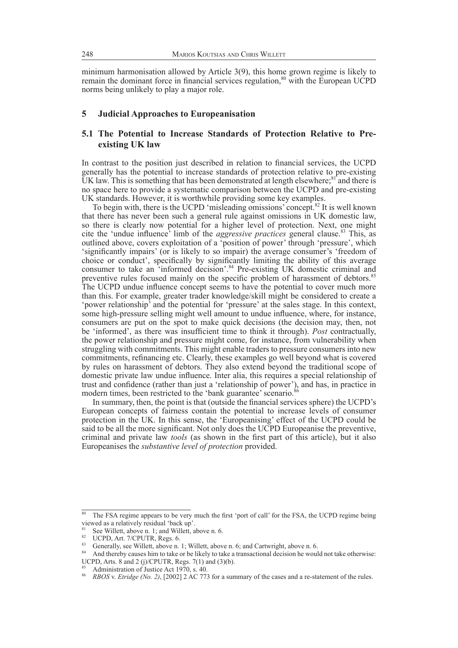minimum harmonisation allowed by Article 3(9), this home grown regime is likely to remain the dominant force in financial services regulation,  $80$  with the European UCPD norms being unlikely to play a major role.

## **5 Judicial Approaches to Europeanisation**

## **5.1 The Potential to Increase Standards of Protection Relative to Preexisting UK law**

In contrast to the position just described in relation to financial services, the UCPD generally has the potential to increase standards of protection relative to pre-existing UK law. This is something that has been demonstrated at length elsewhere; $81$  and there is no space here to provide a systematic comparison between the UCPD and pre-existing UK standards. However, it is worthwhile providing some key examples.

To begin with, there is the UCPD 'misleading omissions' concept.<sup>82</sup> It is well known that there has never been such a general rule against omissions in UK domestic law, so there is clearly now potential for a higher level of protection. Next, one might cite the 'undue influence' limb of the *aggressive practices* general clause.83 This, as outlined above, covers exploitation of a 'position of power' through 'pressure', which 'significantly impairs' (or is likely to so impair) the average consumer's 'freedom of choice or conduct', specifically by significantly limiting the ability of this average consumer to take an 'informed decision'.84 Pre-existing UK domestic criminal and preventive rules focused mainly on the specific problem of harassment of debtors.<sup>85</sup> The UCPD undue influence concept seems to have the potential to cover much more than this. For example, greater trader knowledge/skill might be considered to create a 'power relationship' and the potential for 'pressure' at the sales stage. In this context, some high-pressure selling might well amount to undue influence, where, for instance, consumers are put on the spot to make quick decisions (the decision may, then, not be 'informed', as there was insufficient time to think it through). *Post* contractually, the power relationship and pressure might come, for instance, from vulnerability when struggling with commitments. This might enable traders to pressure consumers into new commitments, refinancing etc. Clearly, these examples go well beyond what is covered by rules on harassment of debtors. They also extend beyond the traditional scope of domestic private law undue influence. Inter alia, this requires a special relationship of trust and confidence (rather than just a 'relationship of power'), and has, in practice in modern times, been restricted to the 'bank guarantee' scenario.<sup>86</sup>

In summary, then, the point is that (outside the financial services sphere) the UCPD's European concepts of fairness contain the potential to increase levels of consumer protection in the UK. In this sense, the 'Europeanising' effect of the UCPD could be said to be all the more significant. Not only does the UCPD Europeanise the preventive, criminal and private law *tools* (as shown in the first part of this article), but it also Europeanises the *substantive level of protection* provided.

<sup>&</sup>lt;sup>80</sup> The FSA regime appears to be very much the first 'port of call' for the FSA, the UCPD regime being viewed as a relatively residual 'back up'.

See Willett, above n. 1; and Willett, above n. 6.

<sup>82</sup> UCPD, Art. 7/CPUTR, Regs. 6.

 $\frac{83}{200}$  Generally, see Willett, above n. 1; Willett, above n. 6; and Cartwright, above n. 6.

<sup>84</sup> And thereby causes him to take or be likely to take a transactional decision he would not take otherwise: UCPD, Arts. 8 and 2 (j)/CPUTR, Regs.  $7(1)$  and  $(3)(b)$ .

Administration of Justice Act 1970, s. 40.

<sup>86</sup> *RBOS* v. *Etridge (No. 2)*, [2002] 2 AC 773 for a summary of the cases and a re-statement of the rules.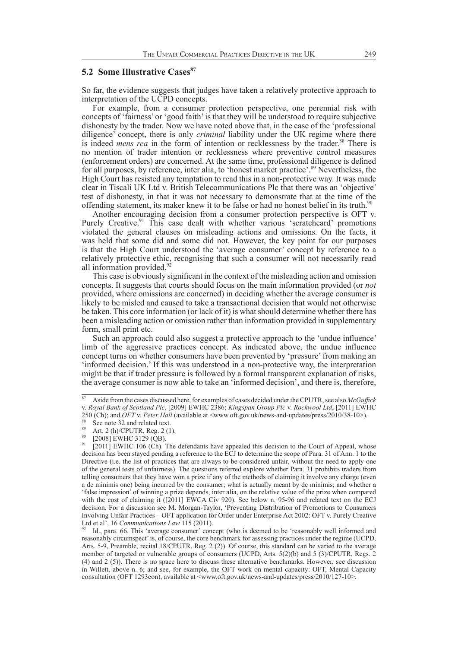## **5.2 Some Illustrative Cases**<sup>87</sup>

So far, the evidence suggests that judges have taken a relatively protective approach to interpretation of the UCPD concepts.

For example, from a consumer protection perspective, one perennial risk with concepts of 'fairness' or 'good faith' is that they will be understood to require subjective dishonesty by the trader. Now we have noted above that, in the case of the 'professional diligence' concept, there is only *criminal* liability under the UK regime where there is indeed *mens rea* in the form of intention or recklessness by the trader.<sup>88</sup> There is no mention of trader intention or recklessness where preventive control measures (enforcement orders) are concerned. At the same time, professional diligence is defined for all purposes, by reference, inter alia, to 'honest market practice'.<sup>89</sup> Nevertheless, the High Court has resisted any temptation to read this in a non-protective way. It was made clear in Tiscali UK Ltd v. British Telecommunications Plc that there was an 'objective' test of dishonesty, in that it was not necessary to demonstrate that at the time of the offending statement, its maker knew it to be false or had no honest belief in its truth.<sup>90</sup>

Another encouraging decision from a consumer protection perspective is OFT v. Purely Creative.<sup>91</sup> This case dealt with whether various 'scratchcard' promotions violated the general clauses on misleading actions and omissions. On the facts, it was held that some did and some did not. However, the key point for our purposes is that the High Court understood the 'average consumer' concept by reference to a relatively protective ethic, recognising that such a consumer will not necessarily read all information provided.<sup>92</sup>

This case is obviously significant in the context of the misleading action and omission concepts. It suggests that courts should focus on the main information provided (or *not* provided, where omissions are concerned) in deciding whether the average consumer is likely to be misled and caused to take a transactional decision that would not otherwise be taken. This core information (or lack of it) is what should determine whether there has been a misleading action or omission rather than information provided in supplementary form, small print etc.

Such an approach could also suggest a protective approach to the 'undue influence' limb of the aggressive practices concept. As indicated above, the undue influence concept turns on whether consumers have been prevented by 'pressure' from making an 'informed decision.' If this was understood in a non-protective way, the interpretation might be that if trader pressure is followed by a formal transparent explanation of risks, the average consumer is now able to take an 'informed decision', and there is, therefore,

<sup>87</sup> Aside from the cases discussed here, for examples of cases decided under the CPUTR, see also *McGuffick* v. *Royal Bank of Scotland Plc*, [2009] EWHC 2386; *Kingspan Group Plc* v. *Rockwool Ltd*, [2011] EWHC 250 (Ch); and *OFT* v. *Peter Hall* (available at [<www.oft.gov.uk/news-and-updates/press/2010/38-10>](http://www.oft.gov.uk/news-and-updates/press/2010/38-10)).

<sup>&</sup>lt;sup>88</sup> See note 32 and related text.

Art. 2 (h)/CPUTR, Reg. 2 (1).

 $^{90}$  [2008] EWHC 3129 (QB).

 $[2011]$  EWHC 106 (Ch). The defendants have appealed this decision to the Court of Appeal, whose decision has been stayed pending a reference to the ECJ to determine the scope of Para. 31 of Ann. 1 to the Directive (i.e. the list of practices that are always to be considered unfair, without the need to apply one of the general tests of unfairness). The questions referred explore whether Para. 31 prohibits traders from telling consumers that they have won a prize if any of the methods of claiming it involve any charge (even a de minimis one) being incurred by the consumer; what is actually meant by de minimis; and whether a 'false impression' of winning a prize depends, inter alia, on the relative value of the prize when compared with the cost of claiming it ([2011] EWCA Civ 920). See below n. 95-96 and related text on the ECJ decision. For a discussion see M. Morgan-Taylor, 'Preventing Distribution of Promotions to Consumers Involving Unfair Practices – OFT application for Order under Enterprise Act 2002: OFT v. Purely Creative Ltd et al', 16 *Communications Law* 115 (2011).

Id., para. 66. This 'average consumer' concept (who is deemed to be 'reasonably well informed and reasonably circumspect' is, of course, the core benchmark for assessing practices under the regime (UCPD, Arts. 5-9, Preamble, recital 18/CPUTR, Reg. 2 (2)). Of course, this standard can be varied to the average member of targeted or vulnerable groups of consumers (UCPD, Arts. 5(2)(b) and 5 (3)/CPUTR, Regs. 2 (4) and 2 (5)). There is no space here to discuss these alternative benchmarks. However, see discussion in Willett, above n. 6; and see, for example, the OFT work on mental capacity: OFT, Mental Capacity consultation (OFT 1293con), available at [<www.oft.gov.uk/news-and-updates/press/2010/127-10](http://www.oft.gov.uk/news-and-updates/press/2010/127-10)>.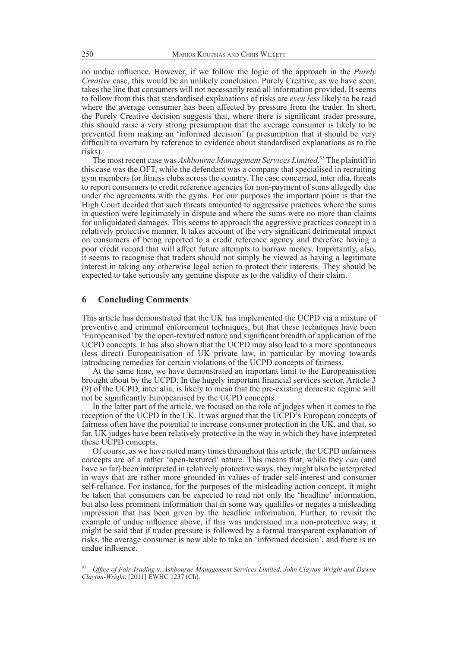no undue influence. However, if we follow the logic of the approach in the *Purely Creative* case, this would be an unlikely conclusion. Purely Creative, as we have seen, takes the line that consumers will not necessarily read all information provided. It seems to follow from this that standardised explanations of risks are *even less* likely to be read where the average consumer has been affected by pressure from the trader. In short, the Purely Creative decision suggests that, where there is significant trader pressure, this should raise a very strong presumption that the average consumer is likely to be prevented from making an 'informed decision' (a presumption that it should be very difficult to overturn by reference to evidence about standardised explanations as to the risks).

The most recent case was *Ashbourne Management Services Limited*. 93 The plaintiff in this case was the OFT, while the defendant was a company that specialised in recruiting gym members for fitness clubs across the country. The case concerned, inter alia, threats to report consumers to credit reference agencies for non-payment of sums allegedly due under the agreements with the gyms. For our purposes the important point is that the High Court decided that such threats amounted to aggressive practices where the sums in question were legitimately in dispute and where the sums were no more than claims for unliquidated damages. This seems to approach the aggressive practices concept in a relatively protective manner. It takes account of the very significant detrimental impact on consumers of being reported to a credit reference agency and therefore having a poor credit record that will affect future attempts to borrow money. Importantly, also, it seems to recognise that traders should not simply be viewed as having a legitimate interest in taking any otherwise legal action to protect their interests. They should be expected to take seriously any genuine dispute as to the validity of their claim.

## **6 Concluding Comments**

This article has demonstrated that the UK has implemented the UCPD via a mixture of preventive and criminal enforcement techniques, but that these techniques have been 'Europeanised' by the open-textured nature and significant breadth of application of the UCPD concepts. It has also shown that the UCPD may also lead to a more spontaneous (less direct) Europeanisation of UK private law, in particular by moving towards introducing remedies for certain violations of the UCPD concepts of fairness.

At the same time, we have demonstrated an important limit to the Europeanisation brought about by the UCPD. In the hugely important financial services sector, Article 3 (9) of the UCPD, inter alia, is likely to mean that the pre-existing domestic regime will not be significantly Europeanised by the UCPD concepts.

In the latter part of the article, we focused on the role of judges when it comes to the reception of the UCPD in the UK. It was argued that the UCPD's European concepts of fairness often have the potential to increase consumer protection in the UK, and that, so far, UK judges have been relatively protective in the way in which they have interpreted these UCPD concepts.

Of course, as we have noted many times throughout this article, the UCPD unfairness concepts are of a rather 'open-textured' nature. This means that, while they *can* (and have so far) been interpreted in relatively protective ways, they might also be interpreted in ways that are rather more grounded in values of trader self-interest and consumer self-reliance. For instance, for the purposes of the misleading action concept, it might be taken that consumers can be expected to read not only the 'headline' information, but also less prominent information that in some way qualifies or negates a misleading impression that has been given by the headline information. Further, to revisit the example of undue influence above, if this was understood in a non-protective way, it might be said that if trader pressure is followed by a formal transparent explanation of risks, the average consumer is now able to take an 'informed decision', and there is no undue influence.

<sup>93</sup> *Office of Fair Trading* v. *Ashbourne Management Services Limited, John Clayton-Wright and Dawne Clayton-Wright*, [2011] EWHC 1237 (Ch).